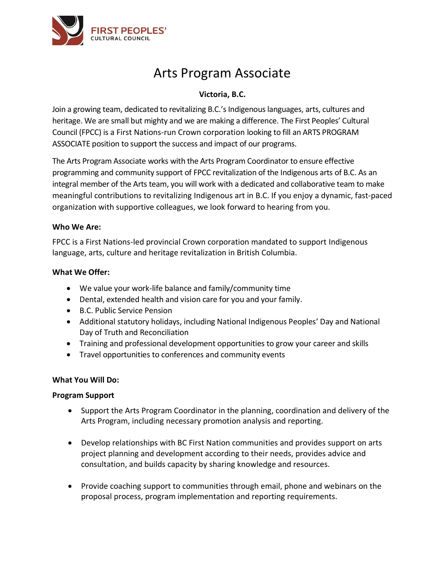

# Arts Program Associate

### **Victoria, B.C.**

Join a growing team, dedicated to revitalizing B.C.'s Indigenous languages, arts, cultures and heritage. We are small but mighty and we are making a difference. The First Peoples' Cultural Council (FPCC) is a First Nations-run Crown corporation looking to fill an ARTS PROGRAM ASSOCIATE position to support the success and impact of our programs.

The Arts Program Associate works with the Arts Program Coordinator to ensure effective programming and community support of FPCC revitalization of the Indigenous arts of B.C. As an integral member of the Arts team, you will work with a dedicated and collaborative team to make meaningful contributions to revitalizing Indigenous art in B.C. If you enjoy a dynamic, fast-paced organization with supportive colleagues, we look forward to hearing from you.

#### **Who We Are:**

FPCC is a First Nations-led provincial Crown corporation mandated to support Indigenous language, arts, culture and heritage revitalization in British Columbia.

#### **What We Offer:**

- We value your work-life balance and family/community time
- Dental, extended health and vision care for you and your family.
- B.C. Public Service Pension
- Additional statutory holidays, including National Indigenous Peoples' Day and National Day of Truth and Reconciliation
- Training and professional development opportunities to grow your career and skills
- Travel opportunities to conferences and community events

#### **What You Will Do:**

#### **Program Support**

- Support the Arts Program Coordinator in the planning, coordination and delivery of the Arts Program, including necessary promotion analysis and reporting.
- Develop relationships with BC First Nation communities and provides support on arts project planning and development according to their needs, provides advice and consultation, and builds capacity by sharing knowledge and resources.
- Provide coaching support to communities through email, phone and webinars on the proposal process, program implementation and reporting requirements.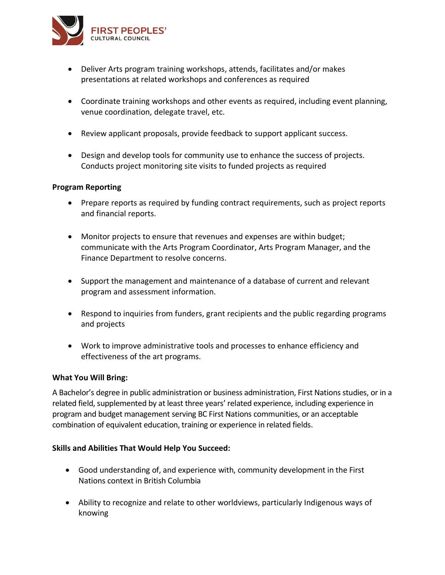

- Deliver Arts program training workshops, attends, facilitates and/or makes presentations at related workshops and conferences as required
- Coordinate training workshops and other events as required, including event planning, venue coordination, delegate travel, etc.
- Review applicant proposals, provide feedback to support applicant success.
- Design and develop tools for community use to enhance the success of projects. Conducts project monitoring site visits to funded projects as required

#### **Program Reporting**

- Prepare reports as required by funding contract requirements, such as project reports and financial reports.
- Monitor projects to ensure that revenues and expenses are within budget; communicate with the Arts Program Coordinator, Arts Program Manager, and the Finance Department to resolve concerns.
- Support the management and maintenance of a database of current and relevant program and assessment information.
- Respond to inquiries from funders, grant recipients and the public regarding programs and projects
- Work to improve administrative tools and processes to enhance efficiency and effectiveness of the art programs.

#### **What You Will Bring:**

A Bachelor's degree in public administration or business administration, First Nations studies, or in a related field, supplemented by at least three years' related experience, including experience in program and budget management serving BC First Nations communities, or an acceptable combination of equivalent education, training or experience in related fields.

#### **Skills and Abilities That Would Help You Succeed:**

- Good understanding of, and experience with, community development in the First Nations context in British Columbia
- Ability to recognize and relate to other worldviews, particularly Indigenous ways of knowing